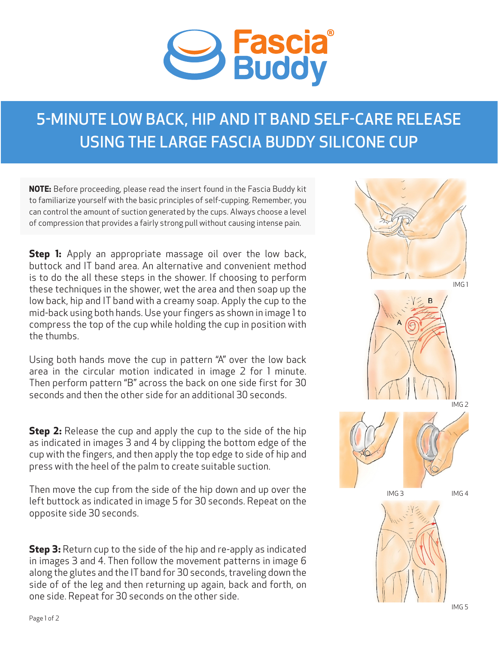

## 5-MINUTE LOW BACK, HIP AND IT BAND SELF-CARE RELEASE USING THE LARGE FASCIA BUDDY SILICONE CUP

**NOTE:** Before proceeding, please read the insert found in the Fascia Buddy kit to familiarize yourself with the basic principles of self-cupping. Remember, you can control the amount of suction generated by the cups. Always choose a level of compression that provides a fairly strong pull without causing intense pain.

**Step 1:** Apply an appropriate massage oil over the low back, buttock and IT band area. An alternative and convenient method is to do the all these steps in the shower. If choosing to perform these techniques in the shower, wet the area and then soap up the low back, hip and IT band with a creamy soap. Apply the cup to the mid-back using both hands. Use your fingers as shown in image 1 to compress the top of the cup while holding the cup in position with the thumbs.

Using both hands move the cup in pattern "A" over the low back area in the circular motion indicated in image 2 for 1 minute. Then perform pattern "B" across the back on one side first for 30 seconds and then the other side for an additional 30 seconds.

**Step 2:** Release the cup and apply the cup to the side of the hip as indicated in images 3 and 4 by clipping the bottom edge of the cup with the fingers, and then apply the top edge to side of hip and press with the heel of the palm to create suitable suction.

Then move the cup from the side of the hip down and up over the left buttock as indicated in image 5 for 30 seconds. Repeat on the opposite side 30 seconds.

**Step 3:** Return cup to the side of the hip and re-apply as indicated in images 3 and 4. Then follow the movement patterns in image 6 along the glutes and the IT band for 30 seconds, traveling down the side of of the leg and then returning up again, back and forth, on one side. Repeat for 30 seconds on the other side.